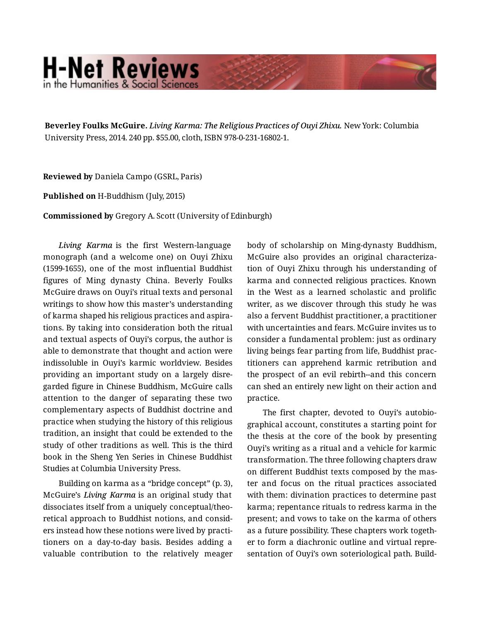## **H-Net Reviews** in the Humanities & Social Scienc

**Beverley Foulks McGuire.** *Living Karma: The Religious Practices of Ouyi Zhixu.* New York: Columbia University Press, 2014. 240 pp. \$55.00, cloth, ISBN 978-0-231-16802-1.

**Reviewed by** Daniela Campo (GSRL, Paris)

**Published on** H-Buddhism (July, 2015)

**Commissioned by** Gregory A. Scott (University of Edinburgh)

*Living Karma* is the first Western-language monograph (and a welcome one) on Ouyi Zhixu (1599-1655), one of the most influential Buddhist figures of Ming dynasty China. Beverly Foulks McGuire draws on Ouyi's ritual texts and personal writings to show how this master's understanding of karma shaped his religious practices and aspira‐ tions. By taking into consideration both the ritual and textual aspects of Ouyi's corpus, the author is able to demonstrate that thought and action were indissoluble in Ouyi's karmic worldview. Besides providing an important study on a largely disre‐ garded figure in Chinese Buddhism, McGuire calls attention to the danger of separating these two complementary aspects of Buddhist doctrine and practice when studying the history of this religious tradition, an insight that could be extended to the study of other traditions as well. This is the third book in the Sheng Yen Series in Chinese Buddhist Studies at Columbia University Press.

Building on karma as a "bridge concept" (p. 3), McGuire's *Living Karma* is an original study that dissociates itself from a uniquely conceptual/theo‐ retical approach to Buddhist notions, and consid‐ ers instead how these notions were lived by practi‐ tioners on a day-to-day basis. Besides adding a valuable contribution to the relatively meager body of scholarship on Ming-dynasty Buddhism, McGuire also provides an original characteriza‐ tion of Ouyi Zhixu through his understanding of karma and connected religious practices. Known in the West as a learned scholastic and prolific writer, as we discover through this study he was also a fervent Buddhist practitioner, a practitioner with uncertainties and fears. McGuire invites us to consider a fundamental problem: just as ordinary living beings fear parting from life, Buddhist prac‐ titioners can apprehend karmic retribution and the prospect of an evil rebirth--and this concern can shed an entirely new light on their action and practice.

The first chapter, devoted to Ouyi's autobio‐ graphical account, constitutes a starting point for the thesis at the core of the book by presenting Ouyi's writing as a ritual and a vehicle for karmic transformation. The three following chapters draw on different Buddhist texts composed by the mas‐ ter and focus on the ritual practices associated with them: divination practices to determine past karma; repentance rituals to redress karma in the present; and vows to take on the karma of others as a future possibility. These chapters work togeth‐ er to form a diachronic outline and virtual repre‐ sentation of Ouyi's own soteriological path. Build‐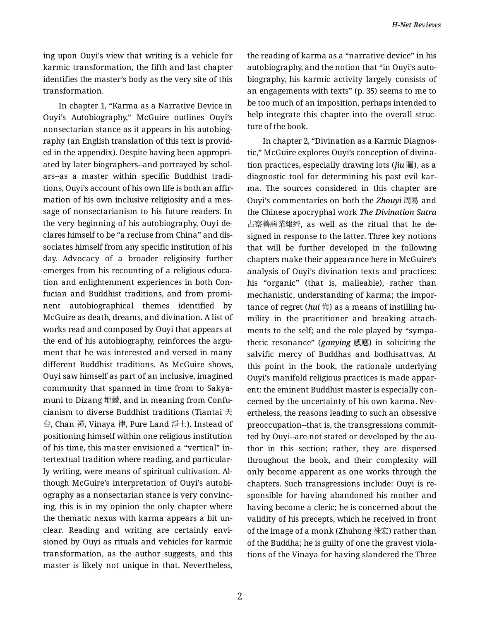ing upon Ouyi's view that writing is a vehicle for karmic transformation, the fifth and last chapter identifies the master's body as the very site of this transformation.

In chapter 1, "Karma as a Narrative Device in Ouyi's Autobiography," McGuire outlines Ouyi's nonsectarian stance as it appears in his autobiog‐ raphy (an English translation of this text is provid‐ ed in the appendix). Despite having been appropri‐ ated by later biographers--and portrayed by schol‐ ars--as a master within specific Buddhist tradi‐ tions, Ouyi's account of his own life is both an affir‐ mation of his own inclusive religiosity and a mes‐ sage of nonsectarianism to his future readers. In the very beginning of his autobiography, Ouyi de‐ clares himself to be "a recluse from China" and dis‐ sociates himself from any specific institution of his day. Advocacy of a broader religiosity further emerges from his recounting of a religious educa‐ tion and enlightenment experiences in both Con‐ fucian and Buddhist traditions, and from promi‐ nent autobiographical themes identified by McGuire as death, dreams, and divination. A list of works read and composed by Ouyi that appears at the end of his autobiography, reinforces the argu‐ ment that he was interested and versed in many different Buddhist traditions. As McGuire shows, Ouyi saw himself as part of an inclusive, imagined community that spanned in time from to Sakya‐ muni to Dizang 地藏, and in meaning from Confu‐ cianism to diverse Buddhist traditions (Tiantai  $\pm$ 台, Chan 禪, Vinaya 律, Pure Land 淨土). Instead of positioning himself within one religious institution of his time, this master envisioned a "vertical" in‐ tertextual tradition where reading, and particular‐ ly writing, were means of spiritual cultivation. Al‐ though McGuire's interpretation of Ouyi's autobi‐ ography as a nonsectarian stance is very convinc‐ ing, this is in my opinion the only chapter where the thematic nexus with karma appears a bit un‐ clear. Reading and writing are certainly envi‐ sioned by Ouyi as rituals and vehicles for karmic transformation, as the author suggests, and this master is likely not unique in that. Nevertheless,

the reading of karma as a "narrative device" in his autobiography, and the notion that "in Ouyi's auto‐ biography, his karmic activity largely consists of an engagements with texts" (p. 35) seems to me to be too much of an imposition, perhaps intended to help integrate this chapter into the overall struc‐ ture of the book.

In chapter 2, "Divination as a Karmic Diagnos‐ tic," McGuire explores Ouyi's conception of divina‐ tion practices, especially drawing lots (*jiu* 鬮), as a diagnostic tool for determining his past evil kar‐ ma. The sources considered in this chapter are Ouyi's commentaries on both the *Zhouyi* 周易 and the Chinese apocryphal work *The Divination Sutra* 占察善惡業報經, as well as the ritual that he de‐ signed in response to the latter. Three key notions that will be further developed in the following chapters make their appearance here in McGuire's analysis of Ouyi's divination texts and practices: his "organic" (that is, malleable), rather than mechanistic, understanding of karma; the impor‐ tance of regret (*hui* 悔) as a means of instilling humility in the practitioner and breaking attach‐ ments to the self; and the role played by "sympa‐ thetic resonance" (*ganying* 感應) in soliciting the salvific mercy of Buddhas and bodhisattvas. At this point in the book, the rationale underlying Ouyi's manifold religious practices is made appar‐ ent: the eminent Buddhist master is especially con‐ cerned by the uncertainty of his own karma. Nev‐ ertheless, the reasons leading to such an obsessive preoccupation--that is, the transgressions commit‐ ted by Ouyi--are not stated or developed by the au‐ thor in this section; rather, they are dispersed throughout the book, and their complexity will only become apparent as one works through the chapters. Such transgressions include: Ouyi is re‐ sponsible for having abandoned his mother and having become a cleric; he is concerned about the validity of his precepts, which he received in front of the image of a monk (Zhuhong 祩宏) rather than of the Buddha; he is guilty of one the gravest viola‐ tions of the Vinaya for having slandered the Three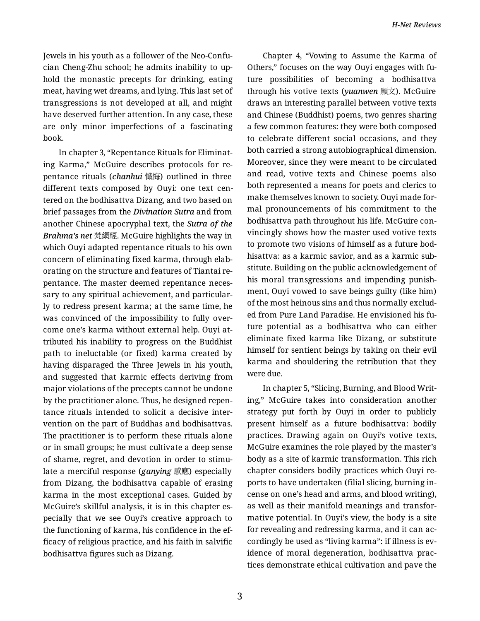Jewels in his youth as a follower of the Neo-Confu‐ cian Cheng-Zhu school; he admits inability to up‐ hold the monastic precepts for drinking, eating meat, having wet dreams, and lying. This last set of transgressions is not developed at all, and might have deserved further attention. In any case, these are only minor imperfections of a fascinating book.

In chapter 3, "Repentance Rituals for Eliminat‐ ing Karma," McGuire describes protocols for re‐ pentance rituals (*chanhui* 懺悔) outlined in three different texts composed by Ouyi: one text cen‐ tered on the bodhisattva Dizang, and two based on brief passages from the *Divination Sutra* and from another Chinese apocryphal text, the *Sutra of the Brahma's net* 梵網經. McGuire highlights the way in which Ouyi adapted repentance rituals to his own concern of eliminating fixed karma, through elab‐ orating on the structure and features of Tiantai re‐ pentance. The master deemed repentance neces‐ sary to any spiritual achievement, and particularly to redress present karma; at the same time, he was convinced of the impossibility to fully over‐ come one's karma without external help. Ouyi at‐ tributed his inability to progress on the Buddhist path to ineluctable (or fixed) karma created by having disparaged the Three Jewels in his youth, and suggested that karmic effects deriving from major violations of the precepts cannot be undone by the practitioner alone. Thus, he designed repen‐ tance rituals intended to solicit a decisive inter‐ vention on the part of Buddhas and bodhisattvas. The practitioner is to perform these rituals alone or in small groups; he must cultivate a deep sense of shame, regret, and devotion in order to stimu‐ late a merciful response (*ganying* 感應) especially from Dizang, the bodhisattva capable of erasing karma in the most exceptional cases. Guided by McGuire's skillful analysis, it is in this chapter es‐ pecially that we see Ouyi's creative approach to the functioning of karma, his confidence in the ef‐ ficacy of religious practice, and his faith in salvific bodhisattva figures such as Dizang.

Chapter 4, "Vowing to Assume the Karma of Others," focuses on the way Ouyi engages with fu‐ ture possibilities of becoming a bodhisattva through his votive texts (*yuanwen* 願文). McGuire draws an interesting parallel between votive texts and Chinese (Buddhist) poems, two genres sharing a few common features: they were both composed to celebrate different social occasions, and they both carried a strong autobiographical dimension. Moreover, since they were meant to be circulated and read, votive texts and Chinese poems also both represented a means for poets and clerics to make themselves known to society. Ouyi made for‐ mal pronouncements of his commitment to the bodhisattva path throughout his life. McGuire con‐ vincingly shows how the master used votive texts to promote two visions of himself as a future bod‐ hisattva: as a karmic savior, and as a karmic sub‐ stitute. Building on the public acknowledgement of his moral transgressions and impending punish‐ ment, Ouyi vowed to save beings guilty (like him) of the most heinous sins and thus normally exclud‐ ed from Pure Land Paradise. He envisioned his fu‐ ture potential as a bodhisattva who can either eliminate fixed karma like Dizang, or substitute himself for sentient beings by taking on their evil karma and shouldering the retribution that they were due.

In chapter 5, "Slicing, Burning, and Blood Writ‐ ing," McGuire takes into consideration another strategy put forth by Ouyi in order to publicly present himself as a future bodhisattva: bodily practices. Drawing again on Ouyi's votive texts, McGuire examines the role played by the master's body as a site of karmic transformation. This rich chapter considers bodily practices which Ouyi re‐ ports to have undertaken (filial slicing, burning in‐ cense on one's head and arms, and blood writing), as well as their manifold meanings and transfor‐ mative potential. In Ouyi's view, the body is a site for revealing and redressing karma, and it can ac‐ cordingly be used as "living karma": if illness is ev‐ idence of moral degeneration, bodhisattva prac‐ tices demonstrate ethical cultivation and pave the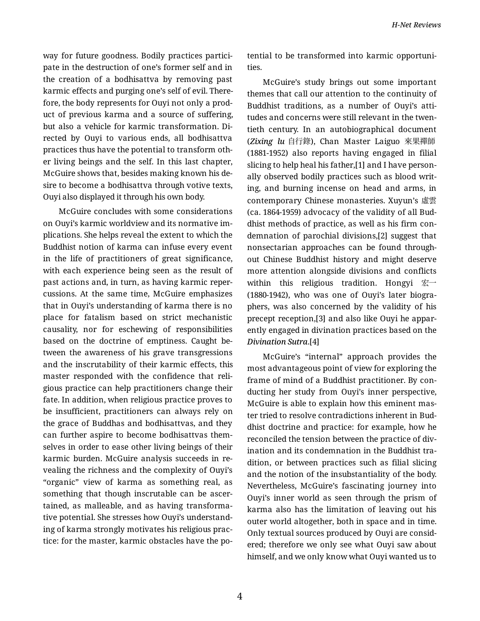way for future goodness. Bodily practices partici‐ pate in the destruction of one's former self and in the creation of a bodhisattva by removing past karmic effects and purging one's self of evil. There‐ fore, the body represents for Ouyi not only a prod‐ uct of previous karma and a source of suffering, but also a vehicle for karmic transformation. Di‐ rected by Ouyi to various ends, all bodhisattva practices thus have the potential to transform oth‐ er living beings and the self. In this last chapter, McGuire shows that, besides making known his de‐ sire to become a bodhisattva through votive texts, Ouyi also displayed it through his own body.

McGuire concludes with some considerations on Ouyi's karmic worldview and its normative im‐ plications. She helps reveal the extent to which the Buddhist notion of karma can infuse every event in the life of practitioners of great significance, with each experience being seen as the result of past actions and, in turn, as having karmic reper‐ cussions. At the same time, McGuire emphasizes that in Ouyi's understanding of karma there is no place for fatalism based on strict mechanistic causality, nor for eschewing of responsibilities based on the doctrine of emptiness. Caught be‐ tween the awareness of his grave transgressions and the inscrutability of their karmic effects, this master responded with the confidence that reli‐ gious practice can help practitioners change their fate. In addition, when religious practice proves to be insufficient, practitioners can always rely on the grace of Buddhas and bodhisattvas, and they can further aspire to become bodhisattvas them‐ selves in order to ease other living beings of their karmic burden. McGuire analysis succeeds in re‐ vealing the richness and the complexity of Ouyi's "organic" view of karma as something real, as something that though inscrutable can be ascer‐ tained, as malleable, and as having transforma‐ tive potential. She stresses how Ouyi's understand‐ ing of karma strongly motivates his religious prac‐ tice: for the master, karmic obstacles have the po‐

tential to be transformed into karmic opportuni‐ ties.

McGuire's study brings out some important themes that call our attention to the continuity of Buddhist traditions, as a number of Ouyi's atti‐ tudes and concerns were still relevant in the twen‐ tieth century. In an autobiographical document (*Zixing lu* 自行錄), Chan Master Laiguo 來果禪師 (1881-1952) also reports having engaged in filial slicing to help heal his father,[1] and I have person‐ ally observed bodily practices such as blood writ‐ ing, and burning incense on head and arms, in contemporary Chinese monasteries. Xuyun's 虛雲 (ca. 1864-1959) advocacy of the validity of all Bud‐ dhist methods of practice, as well as his firm con‐ demnation of parochial divisions,[2] suggest that nonsectarian approaches can be found through‐ out Chinese Buddhist history and might deserve more attention alongside divisions and conflicts within this religious tradition. Hongyi 宏一 (1880-1942), who was one of Ouyi's later biogra‐ phers, was also concerned by the validity of his precept reception,[3] and also like Ouyi he appar‐ ently engaged in divination practices based on the *Divination Sutra*.[4]

McGuire's "internal" approach provides the most advantageous point of view for exploring the frame of mind of a Buddhist practitioner. By con‐ ducting her study from Ouyi's inner perspective, McGuire is able to explain how this eminent mas‐ ter tried to resolve contradictions inherent in Bud‐ dhist doctrine and practice: for example, how he reconciled the tension between the practice of div‐ ination and its condemnation in the Buddhist tra‐ dition, or between practices such as filial slicing and the notion of the insubstantiality of the body. Nevertheless, McGuire's fascinating journey into Ouyi's inner world as seen through the prism of karma also has the limitation of leaving out his outer world altogether, both in space and in time. Only textual sources produced by Ouyi are consid‐ ered; therefore we only see what Ouyi saw about himself, and we only know what Ouyi wanted us to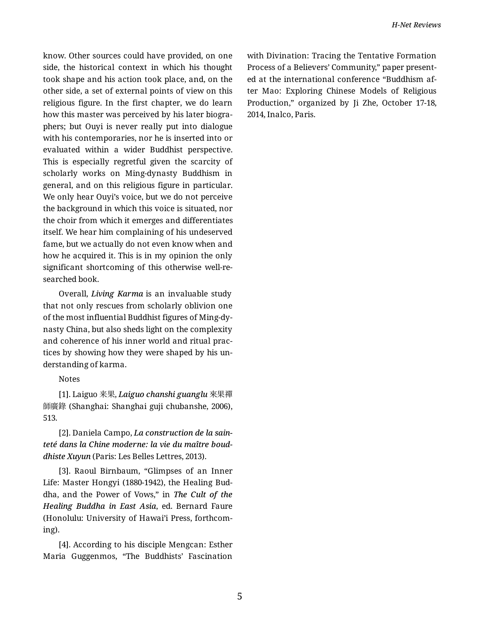know. Other sources could have provided, on one side, the historical context in which his thought took shape and his action took place, and, on the other side, a set of external points of view on this religious figure. In the first chapter, we do learn how this master was perceived by his later biogra‐ phers; but Ouyi is never really put into dialogue with his contemporaries, nor he is inserted into or evaluated within a wider Buddhist perspective. This is especially regretful given the scarcity of scholarly works on Ming-dynasty Buddhism in general, and on this religious figure in particular. We only hear Ouyi's voice, but we do not perceive the background in which this voice is situated, nor the choir from which it emerges and differentiates itself. We hear him complaining of his undeserved fame, but we actually do not even know when and how he acquired it. This is in my opinion the only significant shortcoming of this otherwise well-re‐ searched book.

Overall, *Living Karma* is an invaluable study that not only rescues from scholarly oblivion one of the most influential Buddhist figures of Ming-dy‐ nasty China, but also sheds light on the complexity and coherence of his inner world and ritual prac‐ tices by showing how they were shaped by his un‐ derstanding of karma.

Notes

[1]. Laiguo 来果, *Laiguo chanshi guanglu* 來果禪 師廣錄 (Shanghai: Shanghai guji chubanshe, 2006), 513.

[2]. Daniela Campo, *La construction de la sain‐ teté dans la Chine moderne: la vie du maître boud‐ dhiste Xuyun* (Paris: Les Belles Lettres, 2013).

[3]. Raoul Birnbaum, "Glimpses of an Inner Life: Master Hongyi (1880-1942), the Healing Bud‐ dha, and the Power of Vows," in *The Cult of the Healing Buddha in East Asia*, ed. Bernard Faure (Honolulu: University of Hawai'i Press, forthcom‐ ing).

[4]. According to his disciple Mengcan: Esther Maria Guggenmos, "The Buddhists' Fascination with Divination: Tracing the Tentative Formation Process of a Believers' Community," paper present‐ ed at the international conference "Buddhism af‐ ter Mao: Exploring Chinese Models of Religious Production," organized by Ji Zhe, October 17-18, 2014, Inalco, Paris.